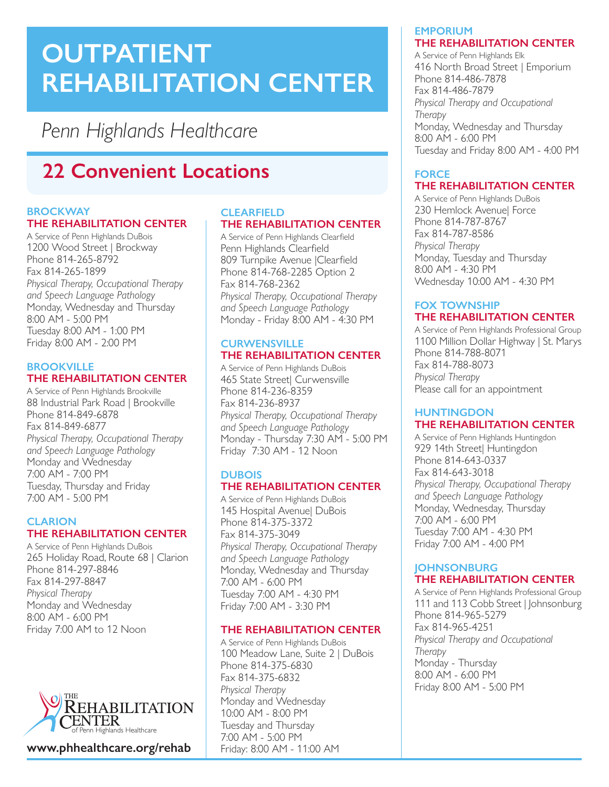# **OUTPATIENT REHABILITATION CENTER**

*Penn Highlands Healthcare*

# **22 Convenient Locations**

#### **BROCKWAY THE REHABILITATION CENTER**

A Service of Penn Highlands DuBois 1200 Wood Street | Brockway Phone 814-265-8792 Fax 814-265-1899 *Physical Therapy, Occupational Therapy and Speech Language Pathology*  Monday, Wednesday and Thursday 8:00 AM - 5:00 PM Tuesday 8:00 AM - 1:00 PM Friday 8:00 AM - 2:00 PM

#### **BROOKVILLE THE REHABILITATION CENTER**

A Service of Penn Highlands Brookville 88 Industrial Park Road | Brookville Phone 814-849-6878 Fax 814-849-6877 *Physical Therapy, Occupational Therapy and Speech Language Pathology*  Monday and Wednesday 7:00 AM - 7:00 PM Tuesday, Thursday and Friday 7:00 AM - 5:00 PM

#### **CLARION THE REHABILITATION CENTER**

A Service of Penn Highlands DuBois 265 Holiday Road, Route 68 | Clarion Phone 814-297-8846 Fax 814-297-8847 *Physical Therapy* Monday and Wednesday 8:00 AM - 6:00 PM Friday 7:00 AM to 12 Noon



**www.phhealthcare.org/rehab**

#### **CLEARFIELD THE REHABILITATION CENTER**

A Service of Penn Highlands Clearfield Penn Highlands Clearfield 809 Turnpike Avenue |Clearfield Phone 814-768-2285 Option 2 Fax 814-768-2362 *Physical Therapy, Occupational Therapy and Speech Language Pathology*  Monday - Friday 8:00 AM - 4:30 PM

#### **CURWENSVILLE THE REHABILITATION CENTER**

A Service of Penn Highlands DuBois 465 State Street| Curwensville Phone 814-236-8359 Fax 814-236-8937 *Physical Therapy, Occupational Therapy and Speech Language Pathology*  Monday - Thursday 7:30 AM - 5:00 PM Friday 7:30 AM - 12 Noon

#### **DUBOIS THE REHABILITATION CENTER**

A Service of Penn Highlands DuBois 145 Hospital Avenue| DuBois Phone 814-375-3372 Fax 814-375-3049 *Physical Therapy, Occupational Therapy and Speech Language Pathology*  Monday, Wednesday and Thursday 7:00 AM - 6:00 PM Tuesday 7:00 AM - 4:30 PM Friday 7:00 AM - 3:30 PM

### **THE REHABILITATION CENTER**

A Service of Penn Highlands DuBois 100 Meadow Lane, Suite 2 | DuBois Phone 814-375-6830 Fax 814-375-6832 *Physical Therapy*  Monday and Wednesday 10:00 AM - 8:00 PM Tuesday and Thursday 7:00 AM - 5:00 PM Friday: 8:00 AM - 11:00 AM

#### **EMPORIUM THE REHABILITATION CENTER**

A Service of Penn Highlands Elk 416 North Broad Street | Emporium Phone 814-486-7878 Fax 814-486-7879 *Physical Therapy and Occupational Therapy*  Monday, Wednesday and Thursday 8:00 AM - 6:00 PM Tuesday and Friday 8:00 AM - 4:00 PM

# **FORCE THE REHABILITATION CENTER**

A Service of Penn Highlands DuBois 230 Hemlock Avenue| Force Phone 814-787-8767 Fax 814-787-8586 *Physical Therapy*  Monday, Tuesday and Thursday 8:00 AM - 4:30 PM Wednesday 10:00 AM - 4:30 PM

# **FOX TOWNSHIP THE REHABILITATION CENTER**

A Service of Penn Highlands Professional Group 1100 Million Dollar Highway | St. Marys Phone 814-788-8071 Fax 814-788-8073 *Physical Therapy*  Please call for an appointment

#### **HUNTINGDON THE REHABILITATION CENTER**

A Service of Penn Highlands Huntingdon 929 14th Street| Huntingdon Phone 814-643-0337 Fax 814-643-3018 *Physical Therapy, Occupational Therapy and Speech Language Pathology* Monday, Wednesday, Thursday 7:00 AM - 6:00 PM Tuesday 7:00 AM - 4:30 PM Friday 7:00 AM - 4:00 PM

### **JOHNSONBURG THE REHABILITATION CENTER**

A Service of Penn Highlands Professional Group 111 and 113 Cobb Street | Johnsonburg Phone 814-965-5279 Fax 814-965-4251 *Physical Therapy and Occupational Therapy*  Monday - Thursday 8:00 AM - 6:00 PM Friday 8:00 AM - 5:00 PM